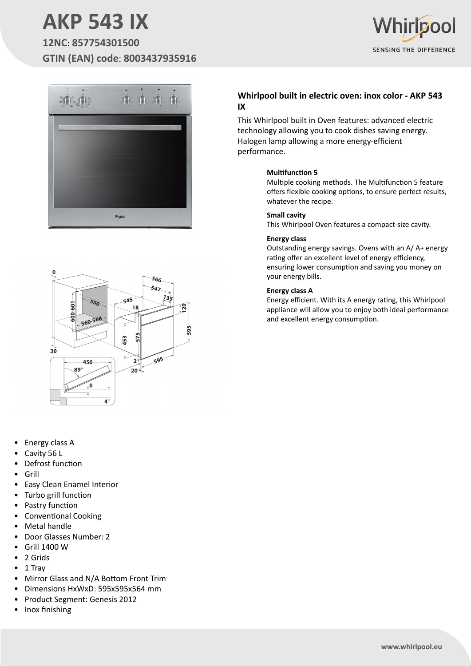# **AKP 543 IX**

**12NC**: **857754301500 GTIN (EAN) code**: **8003437935916**







- Energy class A
- Cavity 56 L
- Defrost function
- Grill
- Easy Clean Enamel Interior
- Turbo grill function
- Pastry function
- Conventional Cooking
- **Metal handle**
- Door Glasses Number: 2
- Grill 1400 W
- 2 Grids
- 1 Tray
- Mirror Glass and N/A Bottom Front Trim
- Dimensions HxWxD: 595x595x564 mm
- Product Segment: Genesis 2012
- Inox finishing

### **Whirlpool built in electric oven: inox color - AKP 543 IX**

This Whirlpool built in Oven features: advanced electric technology allowing you to cook dishes saving energy. Halogen lamp allowing a more energy-efficient performance.

### **Multifunction 5**

Multiple cooking methods. The Multifunction 5 feature offers flexible cooking options, to ensure perfect results, whatever the recipe.

#### **Small cavity**

This Whirlpool Oven features a compact-size cavity.

### **Energy class**

Outstanding energy savings. Ovens with an A/ A+ energy rating offer an excellent level of energy efficiency, ensuring lower consumption and saving you money on your energy bills.

#### **Energy class A**

Energy efficient. With its A energy rating, this Whirlpool appliance will allow you to enjoy both ideal performance and excellent energy consumption.